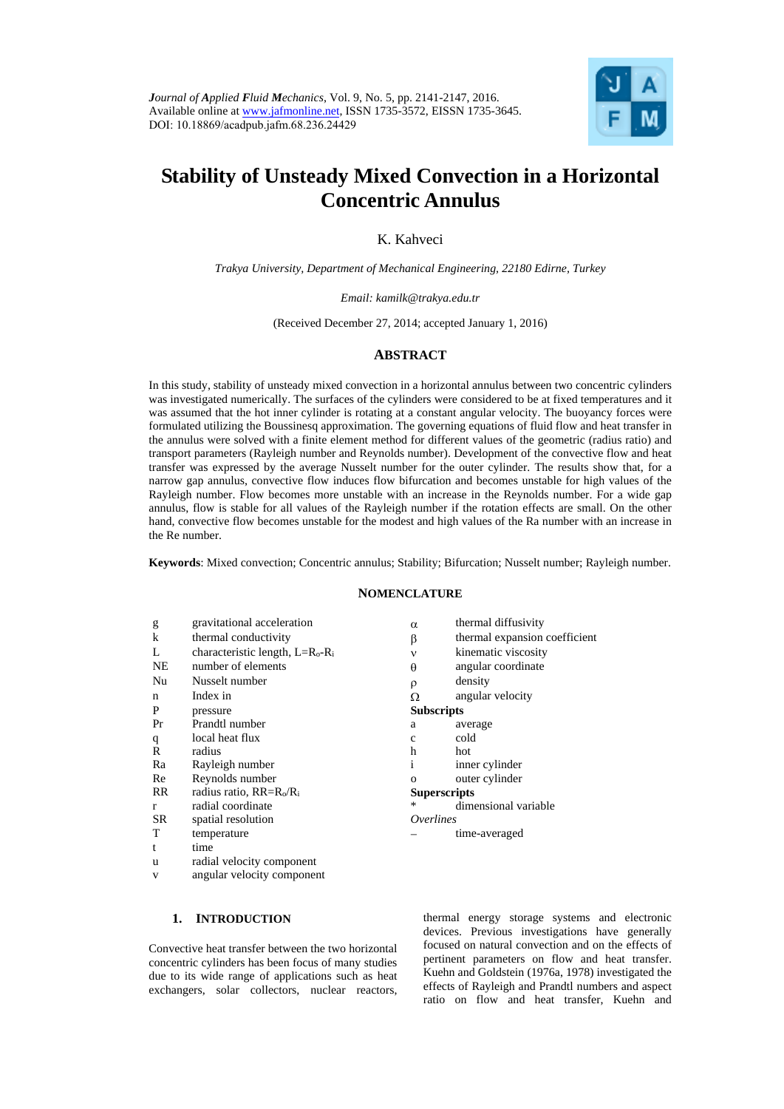

# **Stability of Unsteady Mixed Convection in a Horizontal Concentric Annulus**

K. Kahveci

*Trakya University, Department of Mechanical Engineering, 22180 Edirne, Turkey* 

*Email: kamilk@trakya.edu.tr* 

(Received December 27, 2014; accepted January 1, 2016)

# **ABSTRACT**

In this study, stability of unsteady mixed convection in a horizontal annulus between two concentric cylinders was investigated numerically. The surfaces of the cylinders were considered to be at fixed temperatures and it was assumed that the hot inner cylinder is rotating at a constant angular velocity. The buoyancy forces were formulated utilizing the Boussinesq approximation. The governing equations of fluid flow and heat transfer in the annulus were solved with a finite element method for different values of the geometric (radius ratio) and transport parameters (Rayleigh number and Reynolds number). Development of the convective flow and heat transfer was expressed by the average Nusselt number for the outer cylinder. The results show that, for a narrow gap annulus, convective flow induces flow bifurcation and becomes unstable for high values of the Rayleigh number. Flow becomes more unstable with an increase in the Reynolds number. For a wide gap annulus, flow is stable for all values of the Rayleigh number if the rotation effects are small. On the other hand, convective flow becomes unstable for the modest and high values of the Ra number with an increase in the Re number.

**Keywords**: Mixed convection; Concentric annulus; Stability; Bifurcation; Nusselt number; Rayleigh number.

## **NOMENCLATURE**

g gravitational acceleration k thermal conductivity  $\beta$  thermal expansion coefficient L characteristic length,  $L=R_0-R_i$ <br>NE number of elements number of elements Nu Nusselt number n Index in  $\Omega$  angular velocity P pressure Pr Prandtl number q local heat flux R radius h hot Ra Rayleigh number Re Reynolds number  $RR$  radius ratio,  $RR=R_0/R_1$ r radial coordinate SR spatial resolution T temperature t time u radial velocity component v angular velocity component

| -----               |                           |  |  |  |
|---------------------|---------------------------|--|--|--|
| α                   | thermal diffusivity       |  |  |  |
| β                   | thermal expansion coeffic |  |  |  |
| $\mathbf{v}$        | kinematic viscosity       |  |  |  |
| θ                   | angular coordinate        |  |  |  |
| ρ                   | density                   |  |  |  |
| Ω                   | angular velocity          |  |  |  |
| <b>Subscripts</b>   |                           |  |  |  |
| a                   | average                   |  |  |  |
| $\mathbf{C}$        | cold                      |  |  |  |
| h                   | hot                       |  |  |  |
| i                   | inner cylinder            |  |  |  |
| $\Omega$            | outer cylinder            |  |  |  |
| <b>Superscripts</b> |                           |  |  |  |
| *                   | dimensional variable      |  |  |  |
| <i>Overlines</i>    |                           |  |  |  |
|                     | time-averaged             |  |  |  |
|                     |                           |  |  |  |

# **1. INTRODUCTION**

Convective heat transfer between the two horizontal concentric cylinders has been focus of many studies due to its wide range of applications such as heat exchangers, solar collectors, nuclear reactors,

thermal energy storage systems and electronic devices. Previous investigations have generally focused on natural convection and on the effects of pertinent parameters on flow and heat transfer. Kuehn and Goldstein (1976a, 1978) investigated the effects of Rayleigh and Prandtl numbers and aspect ratio on flow and heat transfer, Kuehn and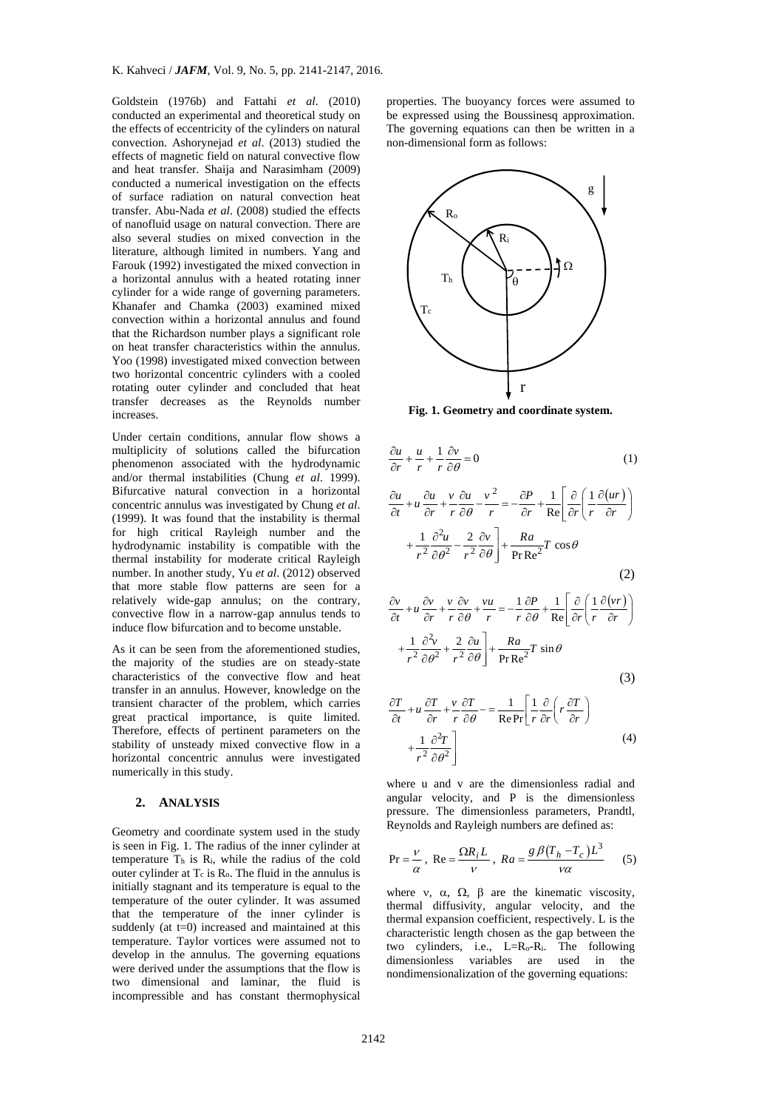Goldstein (1976b) and Fattahi *et al*. (2010) conducted an experimental and theoretical study on the effects of eccentricity of the cylinders on natural convection. Ashorynejad *et al*. (2013) studied the effects of magnetic field on natural convective flow and heat transfer. Shaija and Narasimham (2009) conducted a numerical investigation on the effects of surface radiation on natural convection heat transfer. Abu-Nada *et al*. (2008) studied the effects of nanofluid usage on natural convection. There are also several studies on mixed convection in the literature, although limited in numbers. Yang and Farouk (1992) investigated the mixed convection in a horizontal annulus with a heated rotating inner cylinder for a wide range of governing parameters. Khanafer and Chamka (2003) examined mixed convection within a horizontal annulus and found that the Richardson number plays a significant role on heat transfer characteristics within the annulus. Yoo (1998) investigated mixed convection between two horizontal concentric cylinders with a cooled rotating outer cylinder and concluded that heat transfer decreases as the Reynolds number increases.

Under certain conditions, annular flow shows a multiplicity of solutions called the bifurcation phenomenon associated with the hydrodynamic and/or thermal instabilities (Chung *et al*. 1999). Bifurcative natural convection in a horizontal concentric annulus was investigated by Chung *et al*. (1999). It was found that the instability is thermal for high critical Rayleigh number and the hydrodynamic instability is compatible with the thermal instability for moderate critical Rayleigh number. In another study, Yu *et al*. (2012) observed that more stable flow patterns are seen for a relatively wide-gap annulus; on the contrary, convective flow in a narrow-gap annulus tends to induce flow bifurcation and to become unstable.

As it can be seen from the aforementioned studies, the majority of the studies are on steady-state characteristics of the convective flow and heat transfer in an annulus. However, knowledge on the transient character of the problem, which carries great practical importance, is quite limited. Therefore, effects of pertinent parameters on the stability of unsteady mixed convective flow in a horizontal concentric annulus were investigated numerically in this study.

## **2. ANALYSIS**

Geometry and coordinate system used in the study is seen in Fig. 1. The radius of the inner cylinder at temperature  $T<sub>h</sub>$  is  $R<sub>i</sub>$ , while the radius of the cold outer cylinder at  $T_c$  is  $R_0$ . The fluid in the annulus is initially stagnant and its temperature is equal to the temperature of the outer cylinder. It was assumed that the temperature of the inner cylinder is suddenly (at  $t=0$ ) increased and maintained at this temperature. Taylor vortices were assumed not to develop in the annulus. The governing equations were derived under the assumptions that the flow is two dimensional and laminar, the fluid is incompressible and has constant thermophysical

properties. The buoyancy forces were assumed to be expressed using the Boussinesq approximation. The governing equations can then be written in a non-dimensional form as follows:



**Fig. 1. Geometry and coordinate system.** 

$$
\frac{\partial u}{\partial r} + \frac{u}{r} + \frac{1}{r} \frac{\partial v}{\partial \theta} = 0
$$
\n(1)  
\n
$$
\frac{\partial u}{\partial t} + u \frac{\partial u}{\partial r} + \frac{v}{r} \frac{\partial u}{\partial \theta} - \frac{v^2}{r} = -\frac{\partial P}{\partial r} + \frac{1}{Re} \left[ \frac{\partial}{\partial r} \left( \frac{1}{r} \frac{\partial (ur)}{\partial r} \right) + \frac{1}{r^2} \frac{\partial^2 u}{\partial \theta^2} - \frac{2}{r^2} \frac{\partial v}{\partial \theta} \right] + \frac{Ra}{Pr Re^2} T \cos \theta
$$
\n(2)  
\n
$$
\frac{\partial v}{\partial t} + u \frac{\partial v}{\partial r} + \frac{v}{r} \frac{\partial v}{\partial \theta} + \frac{vu}{r} = -\frac{1}{r} \frac{\partial P}{\partial \theta} + \frac{1}{Re} \left[ \frac{\partial}{\partial r} \left( \frac{1}{r} \frac{\partial (vr)}{\partial r} \right) \right]
$$

$$
+\frac{1}{r^2}\frac{\partial^2 v}{\partial \theta^2} + \frac{2}{r^2}\frac{\partial u}{\partial \theta}\bigg] + \frac{Ra}{Pr Re^2}Tr \sin \theta
$$
\n(3)

$$
\frac{\partial T}{\partial t} + u \frac{\partial T}{\partial r} + \frac{v}{r} \frac{\partial T}{\partial \theta} - \frac{1}{\text{Re} \Pr} \left[ \frac{1}{r} \frac{\partial}{\partial r} \left( r \frac{\partial T}{\partial r} \right) + \frac{1}{r^2} \frac{\partial^2 T}{\partial \theta^2} \right]
$$
\n(4)

where u and v are the dimensionless radial and angular velocity, and P is the dimensionless pressure. The dimensionless parameters, Prandtl, Reynolds and Rayleigh numbers are defined as:

$$
Pr = \frac{V}{\alpha}, Re = \frac{\Omega R_i L}{V}, Ra = \frac{g \beta (T_h - T_c) L^3}{V \alpha}
$$
 (5)

where v,  $\alpha$ ,  $\Omega$ ,  $\beta$  are the kinematic viscosity, thermal diffusivity, angular velocity, and the thermal expansion coefficient, respectively. L is the characteristic length chosen as the gap between the two cylinders, i.e.,  $L=R_0-R_i$ . The following dimensionless variables are used in the nondimensionalization of the governing equations: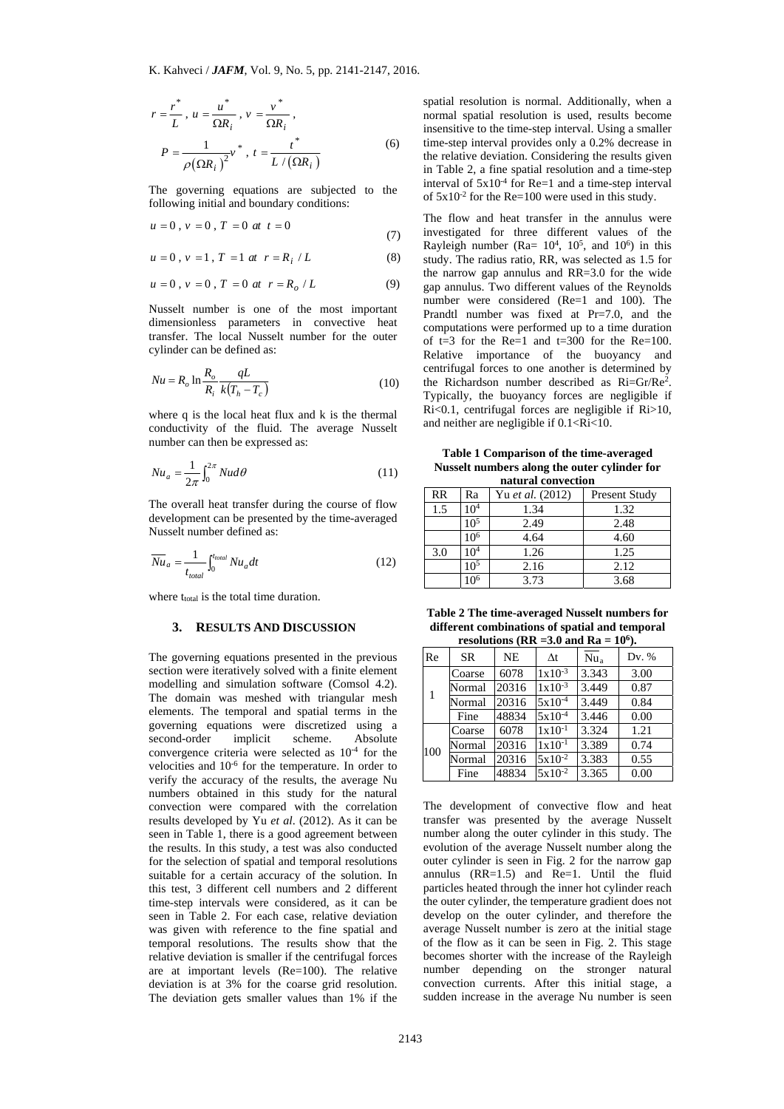$$
r = \frac{r^*}{L}, u = \frac{u^*}{\Omega R_i}, v = \frac{v^*}{\Omega R_i},
$$
  

$$
P = \frac{1}{\rho(\Omega R_i)^2} v^*, t = \frac{t^*}{L/(\Omega R_i)}
$$
 (6)

The governing equations are subjected to the following initial and boundary conditions:

$$
u = 0, v = 0, T = 0 \text{ at } t = 0
$$
\n(7)

$$
u = 0 \, , \, v = 1 \, , \, T = 1 \, \, at \ \ r = R_i \, \, / \, L \tag{8}
$$

$$
u = 0, v = 0, T = 0 \t at r = R_o / L \t (9)
$$

Nusselt number is one of the most important dimensionless parameters in convective heat transfer. The local Nusselt number for the outer cylinder can be defined as:

$$
Nu = R_o \ln \frac{R_o}{R_i} \frac{qL}{k(T_h - T_c)}
$$
(10)

where q is the local heat flux and k is the thermal conductivity of the fluid. The average Nusselt number can then be expressed as:

$$
Nu_a = \frac{1}{2\pi} \int_0^{2\pi} Nu d\theta \tag{11}
$$

The overall heat transfer during the course of flow development can be presented by the time-averaged Nusselt number defined as:

$$
\overline{Nu}_a = \frac{1}{t_{total}} \int_0^{t_{total}} Nu_a dt
$$
 (12)

where t<sub>total</sub> is the total time duration.

### **3. RESULTS AND DISCUSSION**

The governing equations presented in the previous section were iteratively solved with a finite element modelling and simulation software (Comsol 4.2). The domain was meshed with triangular mesh elements. The temporal and spatial terms in the governing equations were discretized using a second-order implicit scheme. Absolute convergence criteria were selected as 10-4 for the velocities and  $10^{-6}$  for the temperature. In order to verify the accuracy of the results, the average Nu numbers obtained in this study for the natural convection were compared with the correlation results developed by Yu *et al*. (2012). As it can be seen in Table 1, there is a good agreement between the results. In this study, a test was also conducted for the selection of spatial and temporal resolutions suitable for a certain accuracy of the solution. In this test, 3 different cell numbers and 2 different time-step intervals were considered, as it can be seen in Table 2. For each case, relative deviation was given with reference to the fine spatial and temporal resolutions. The results show that the relative deviation is smaller if the centrifugal forces are at important levels (Re=100). The relative deviation is at 3% for the coarse grid resolution. The deviation gets smaller values than 1% if the

spatial resolution is normal. Additionally, when a normal spatial resolution is used, results become insensitive to the time-step interval. Using a smaller time-step interval provides only a 0.2% decrease in the relative deviation. Considering the results given in Table 2, a fine spatial resolution and a time-step interval of  $5x10^{-4}$  for Re=1 and a time-step interval of  $5x10^{-2}$  for the Re=100 were used in this study.

The flow and heat transfer in the annulus were investigated for three different values of the Rayleigh number (Ra=  $10^4$ ,  $10^5$ , and  $10^6$ ) in this study. The radius ratio, RR, was selected as 1.5 for the narrow gap annulus and RR=3.0 for the wide gap annulus. Two different values of the Reynolds number were considered (Re=1 and 100). The Prandtl number was fixed at Pr=7.0, and the computations were performed up to a time duration of  $t=3$  for the Re=1 and  $t=300$  for the Re=100. Relative importance of the buoyancy and centrifugal forces to one another is determined by the Richardson number described as Ri=Gr/Re2. Typically, the buoyancy forces are negligible if Ri<0.1, centrifugal forces are negligible if Ri>10, and neither are negligible if  $0.1 < Ri < 10$ .

**Table 1 Comparison of the time-averaged Nusselt numbers along the outer cylinder for natural convection** 

| RR  | Ra              | Yu et al. (2012) | <b>Present Study</b> |  |
|-----|-----------------|------------------|----------------------|--|
| 1.5 | 10 <sup>4</sup> | 1.34             | 1.32                 |  |
|     | 10 <sup>5</sup> | 2.49             | 2.48                 |  |
|     | 10 <sup>6</sup> | 4.64             | 4.60                 |  |
| 3.0 | 10 <sup>4</sup> | 1.26             | 1.25                 |  |
|     | $10^{5}$        | 2.16             | 2.12                 |  |
|     | $\Omega6$       | 3.73             | 3.68                 |  |

**Table 2 The time-averaged Nusselt numbers for different combinations of spatial and temporal**  resolutions ( $RR = 3.0$  and  $Ra = 10^6$ ).

| Re  | <b>SR</b> | <b>NE</b> | $\Delta t$         | Nu <sub>a</sub> | Dv. % |
|-----|-----------|-----------|--------------------|-----------------|-------|
|     | Coarse    | 6078      | $1x10^{-3}$        | 3.343           | 3.00  |
|     | Normal    | 20316     | $1x10^{-3}$        | 3.449           | 0.87  |
|     | Normal    | 20316     | $5x10^{-4}$        | 3.449           | 0.84  |
|     | Fine      | 48834     | $5x10^{-4}$        | 3.446           | 0.00  |
| 100 | Coarse    | 6078      | $1 \times 10^{-1}$ | 3.324           | 1.21  |
|     | Normal    | 20316     | $1 \times 10^{-1}$ | 3.389           | 0.74  |
|     | Normal    | 20316     | $5x10^{-2}$        | 3.383           | 0.55  |
|     | Fine      | 48834     | $5x10^{-2}$        | 3.365           | 0.00  |

The development of convective flow and heat transfer was presented by the average Nusselt number along the outer cylinder in this study. The evolution of the average Nusselt number along the outer cylinder is seen in Fig. 2 for the narrow gap annulus  $(RR=1.5)$  and  $Re=1$ . Until the fluid particles heated through the inner hot cylinder reach the outer cylinder, the temperature gradient does not develop on the outer cylinder, and therefore the average Nusselt number is zero at the initial stage of the flow as it can be seen in Fig. 2. This stage becomes shorter with the increase of the Rayleigh number depending on the stronger natural convection currents. After this initial stage, a sudden increase in the average Nu number is seen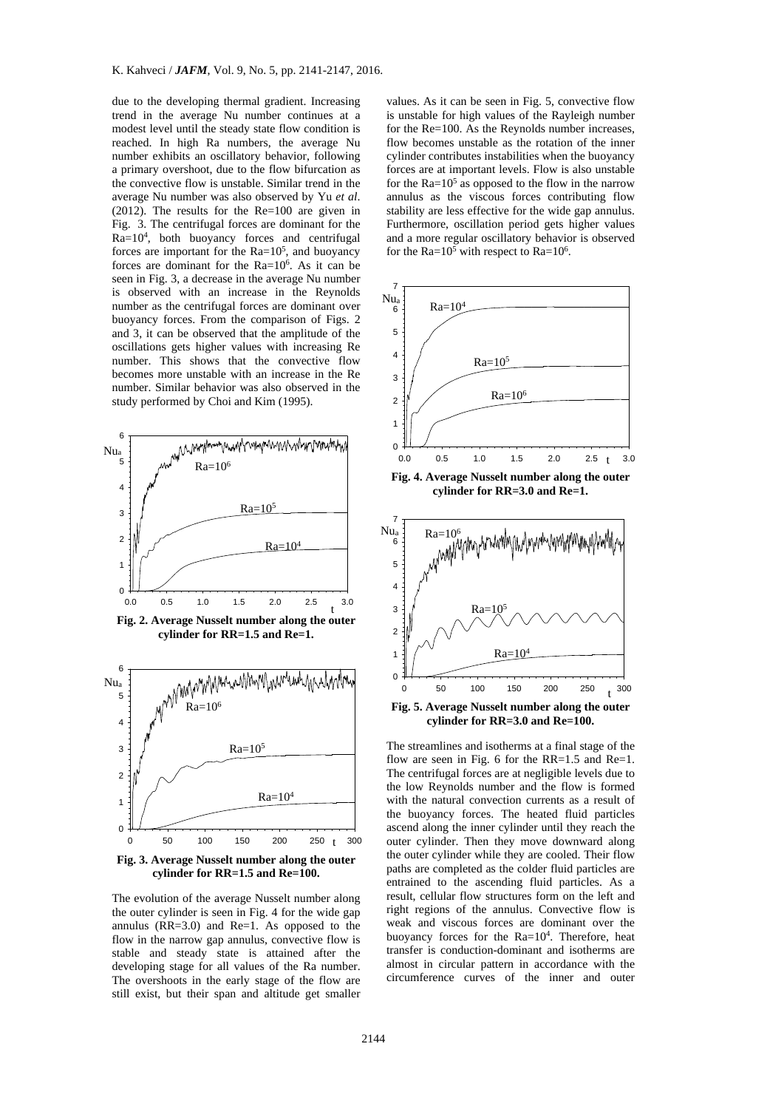due to the developing thermal gradient. Increasing trend in the average Nu number continues at a modest level until the steady state flow condition is reached. In high Ra numbers, the average Nu number exhibits an oscillatory behavior, following a primary overshoot, due to the flow bifurcation as the convective flow is unstable. Similar trend in the average Nu number was also observed by Yu *et al*. (2012). The results for the Re=100 are given in Fig. 3. The centrifugal forces are dominant for the Ra=104, both buoyancy forces and centrifugal forces are important for the  $Ra=10^5$ , and buoyancy forces are dominant for the Ra=106. As it can be seen in Fig. 3, a decrease in the average Nu number is observed with an increase in the Reynolds number as the centrifugal forces are dominant over buoyancy forces. From the comparison of Figs. 2 and 3, it can be observed that the amplitude of the oscillations gets higher values with increasing Re number. This shows that the convective flow becomes more unstable with an increase in the Re number. Similar behavior was also observed in the study performed by Choi and Kim (1995).





**Fig. 3. Average Nusselt number along the outer cylinder for RR=1.5 and Re=100.** 

The evolution of the average Nusselt number along the outer cylinder is seen in Fig. 4 for the wide gap annulus (RR=3.0) and Re=1. As opposed to the flow in the narrow gap annulus, convective flow is stable and steady state is attained after the developing stage for all values of the Ra number. The overshoots in the early stage of the flow are still exist, but their span and altitude get smaller

values. As it can be seen in Fig. 5, convective flow is unstable for high values of the Rayleigh number for the Re=100. As the Reynolds number increases, flow becomes unstable as the rotation of the inner cylinder contributes instabilities when the buoyancy forces are at important levels. Flow is also unstable for the  $Ra=10^5$  as opposed to the flow in the narrow annulus as the viscous forces contributing flow stability are less effective for the wide gap annulus. Furthermore, oscillation period gets higher values and a more regular oscillatory behavior is observed for the Ra= $10^5$  with respect to Ra= $10^6$ .



**Fig. 4. Average Nusselt number along the outer cylinder for RR=3.0 and Re=1.** 



**Fig. 5. Average Nusselt number along the outer cylinder for RR=3.0 and Re=100.** 

The streamlines and isotherms at a final stage of the flow are seen in Fig. 6 for the  $RR=1.5$  and  $Re=1$ . The centrifugal forces are at negligible levels due to the low Reynolds number and the flow is formed with the natural convection currents as a result of the buoyancy forces. The heated fluid particles ascend along the inner cylinder until they reach the outer cylinder. Then they move downward along the outer cylinder while they are cooled. Their flow paths are completed as the colder fluid particles are entrained to the ascending fluid particles. As a result, cellular flow structures form on the left and right regions of the annulus. Convective flow is weak and viscous forces are dominant over the buoyancy forces for the Ra=10<sup>4</sup>. Therefore, heat transfer is conduction-dominant and isotherms are almost in circular pattern in accordance with the circumference curves of the inner and outer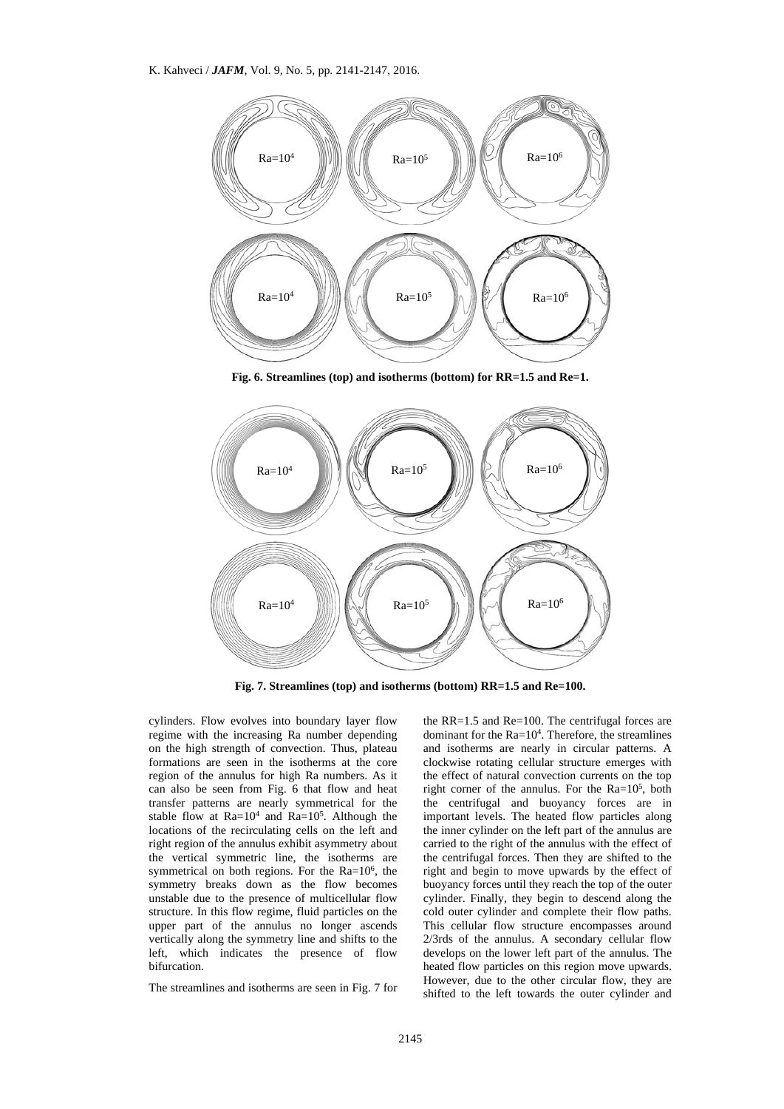

**Fig. 6. Streamlines (top) and isotherms (bottom) for RR=1.5 and Re=1.** 



**Fig. 7. Streamlines (top) and isotherms (bottom) RR=1.5 and Re=100.** 

cylinders. Flow evolves into boundary layer flow regime with the increasing Ra number depending on the high strength of convection. Thus, plateau formations are seen in the isotherms at the core region of the annulus for high Ra numbers. As it can also be seen from Fig. 6 that flow and heat transfer patterns are nearly symmetrical for the stable flow at  $Ra=10^4$  and  $Ra=10^5$ . Although the locations of the recirculating cells on the left and right region of the annulus exhibit asymmetry about the vertical symmetric line, the isotherms are symmetrical on both regions. For the  $Ra=10^6$ , the symmetry breaks down as the flow becomes unstable due to the presence of multicellular flow structure. In this flow regime, fluid particles on the upper part of the annulus no longer ascends vertically along the symmetry line and shifts to the left, which indicates the presence of flow bifurcation.

The streamlines and isotherms are seen in Fig. 7 for

the RR=1.5 and Re=100. The centrifugal forces are dominant for the  $Ra=10^4$ . Therefore, the streamlines and isotherms are nearly in circular patterns. A clockwise rotating cellular structure emerges with the effect of natural convection currents on the top right corner of the annulus. For the  $Ra=10^5$ , both the centrifugal and buoyancy forces are in important levels. The heated flow particles along the inner cylinder on the left part of the annulus are carried to the right of the annulus with the effect of the centrifugal forces. Then they are shifted to the right and begin to move upwards by the effect of buoyancy forces until they reach the top of the outer cylinder. Finally, they begin to descend along the cold outer cylinder and complete their flow paths. This cellular flow structure encompasses around 2/3rds of the annulus. A secondary cellular flow develops on the lower left part of the annulus. The heated flow particles on this region move upwards. However, due to the other circular flow, they are shifted to the left towards the outer cylinder and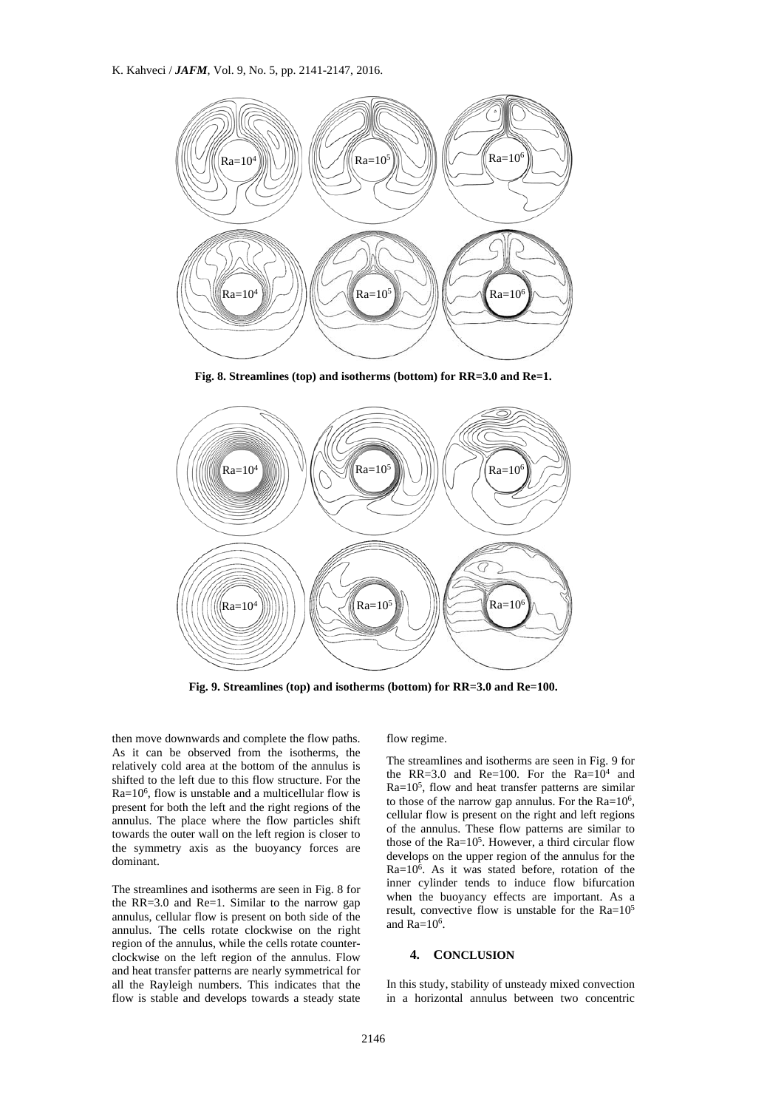

**Fig. 8. Streamlines (top) and isotherms (bottom) for RR=3.0 and Re=1.** 



**Fig. 9. Streamlines (top) and isotherms (bottom) for RR=3.0 and Re=100.** 

then move downwards and complete the flow paths. As it can be observed from the isotherms, the relatively cold area at the bottom of the annulus is shifted to the left due to this flow structure. For the Ra=106, flow is unstable and a multicellular flow is present for both the left and the right regions of the annulus. The place where the flow particles shift towards the outer wall on the left region is closer to the symmetry axis as the buoyancy forces are dominant.

The streamlines and isotherms are seen in Fig. 8 for the RR=3.0 and Re=1. Similar to the narrow gap annulus, cellular flow is present on both side of the annulus. The cells rotate clockwise on the right region of the annulus, while the cells rotate counterclockwise on the left region of the annulus. Flow and heat transfer patterns are nearly symmetrical for all the Rayleigh numbers. This indicates that the flow is stable and develops towards a steady state

flow regime.

The streamlines and isotherms are seen in Fig. 9 for the RR=3.0 and Re=100. For the  $Ra=10^4$  and  $Ra=10^5$ , flow and heat transfer patterns are similar to those of the narrow gap annulus. For the  $Ra=10^6$ , cellular flow is present on the right and left regions of the annulus. These flow patterns are similar to those of the  $Ra=10^5$ . However, a third circular flow develops on the upper region of the annulus for the Ra=106. As it was stated before, rotation of the inner cylinder tends to induce flow bifurcation when the buoyancy effects are important. As a result, convective flow is unstable for the  $Ra=10^5$ and  $Ra=10^6$ .

### **4. CONCLUSION**

In this study, stability of unsteady mixed convection in a horizontal annulus between two concentric